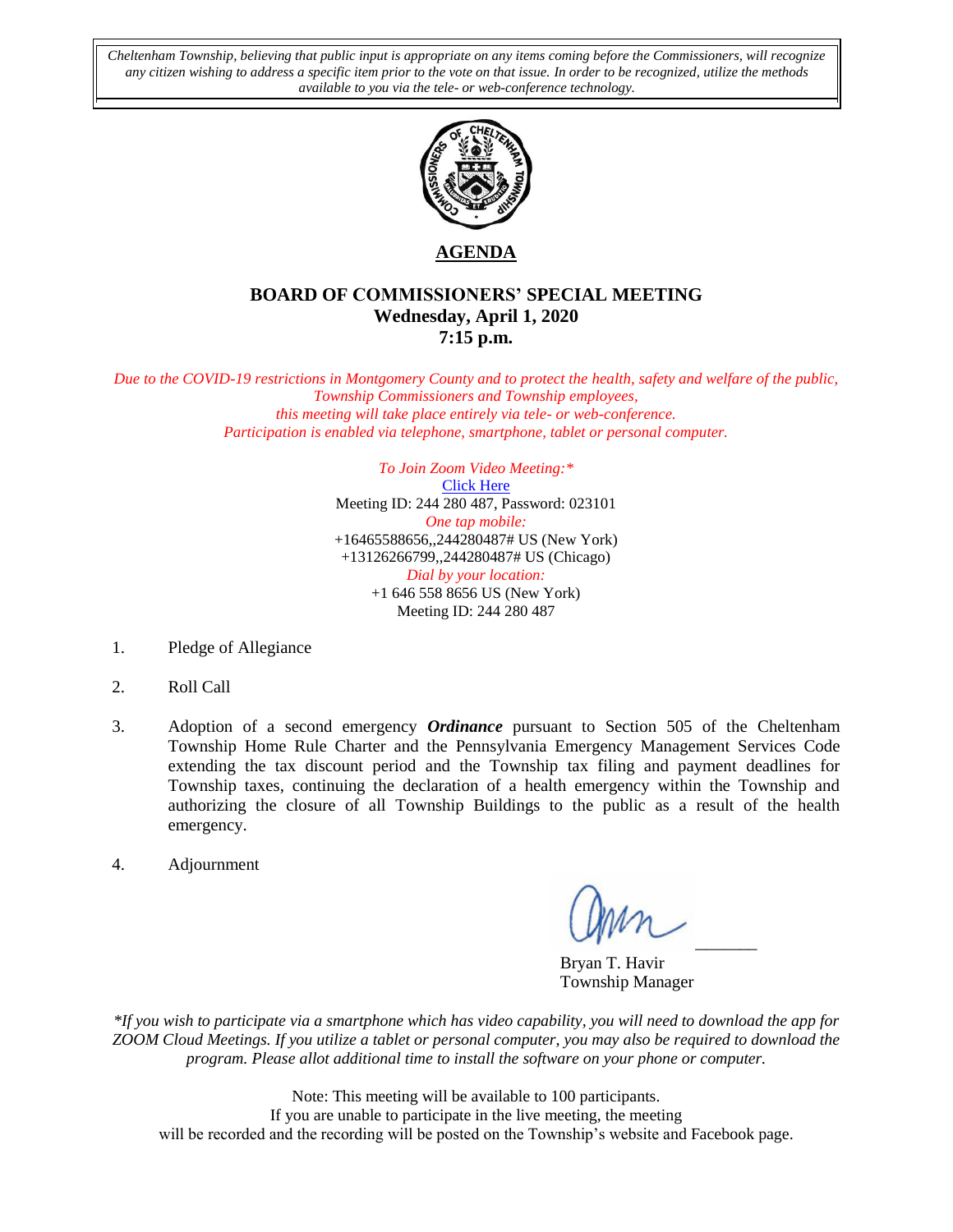*Cheltenham Township, believing that public input is appropriate on any items coming before the Commissioners, will recognize any citizen wishing to address a specific item prior to the vote on that issue. In order to be recognized, utilize the methods available to you via the tele- or web-conference technology.*



**AGENDA**

# **BOARD OF COMMISSIONERS' SPECIAL MEETING Wednesday, April 1, 2020 7:15 p.m.**

*Due to the COVID-19 restrictions in Montgomery County and to protect the health, safety and welfare of the public, Township Commissioners and Township employees, this meeting will take place entirely via tele- or web-conference. Participation is enabled via telephone, smartphone, tablet or personal computer.*

> *To Join Zoom Video Meeting:\** [Click Here](https://zoom.us/j/244280487?pwd=RVBMQjhOR29jYlpmd0pGYjFVRGNTUT09) Meeting ID: 244 280 487, Password: 023101 *One tap mobile:* +16465588656,,244280487# US (New York) +13126266799,,244280487# US (Chicago) *Dial by your location:* +1 646 558 8656 US (New York) Meeting ID: 244 280 487

- 1. Pledge of Allegiance
- 2. Roll Call
- 3. Adoption of a second emergency *Ordinance* pursuant to Section 505 of the Cheltenham Township Home Rule Charter and the Pennsylvania Emergency Management Services Code extending the tax discount period and the Township tax filing and payment deadlines for Township taxes, continuing the declaration of a health emergency within the Township and authorizing the closure of all Township Buildings to the public as a result of the health emergency.
- 4. Adjournment

 $\cup$   $\cup$   $\cup$ 

Bryan T. Havir Township Manager

*\*If you wish to participate via a smartphone which has video capability, you will need to download the app for ZOOM Cloud Meetings. If you utilize a tablet or personal computer, you may also be required to download the program. Please allot additional time to install the software on your phone or computer.* 

Note: This meeting will be available to 100 participants. If you are unable to participate in the live meeting, the meeting will be recorded and the recording will be posted on the Township's website and Facebook page.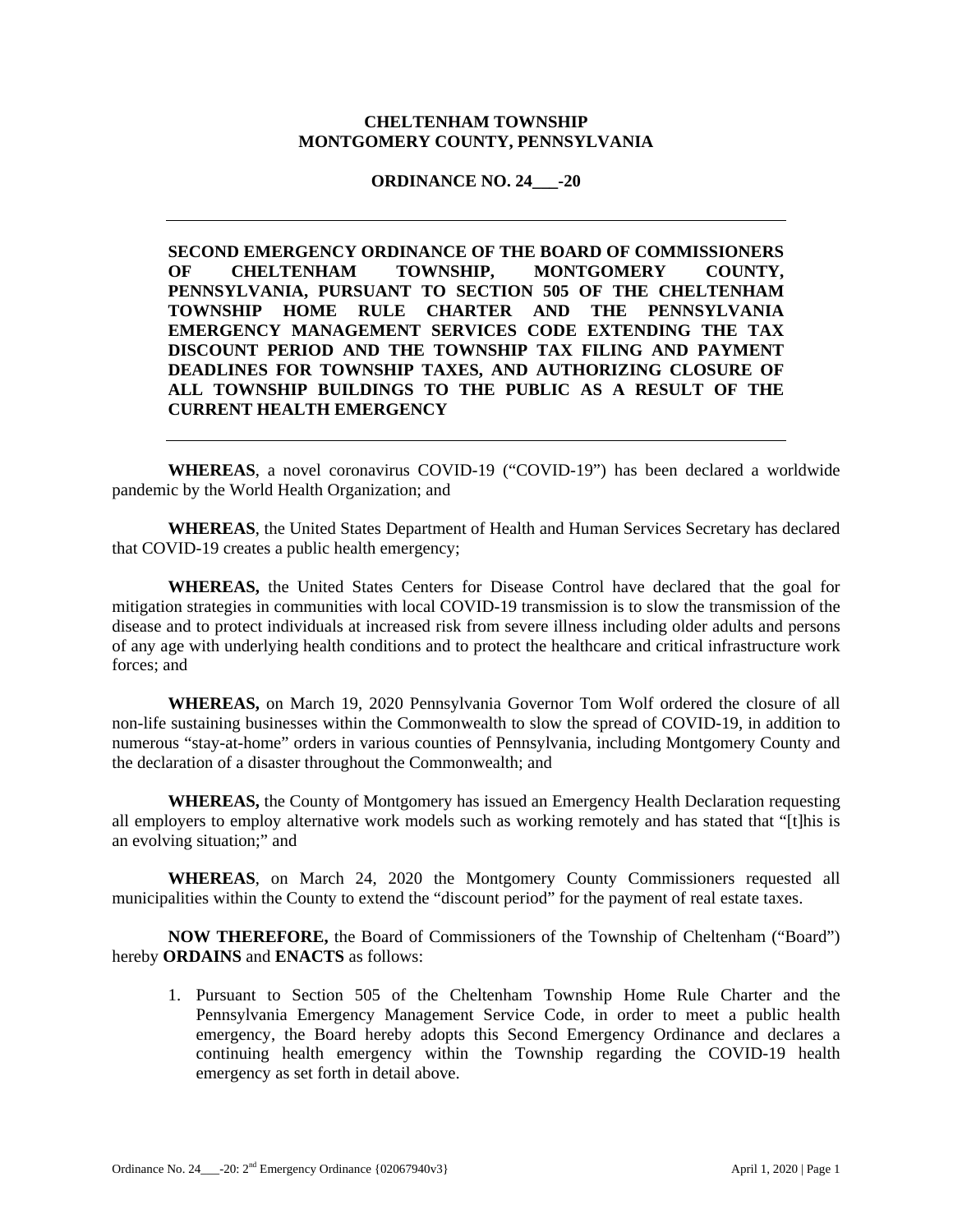### **CHELTENHAM TOWNSHIP MONTGOMERY COUNTY, PENNSYLVANIA**

### **ORDINANCE NO. 24\_\_\_-20**

**SECOND EMERGENCY ORDINANCE OF THE BOARD OF COMMISSIONERS OF CHELTENHAM TOWNSHIP, MONTGOMERY COUNTY, PENNSYLVANIA, PURSUANT TO SECTION 505 OF THE CHELTENHAM TOWNSHIP HOME RULE CHARTER AND THE PENNSYLVANIA EMERGENCY MANAGEMENT SERVICES CODE EXTENDING THE TAX DISCOUNT PERIOD AND THE TOWNSHIP TAX FILING AND PAYMENT DEADLINES FOR TOWNSHIP TAXES, AND AUTHORIZING CLOSURE OF ALL TOWNSHIP BUILDINGS TO THE PUBLIC AS A RESULT OF THE CURRENT HEALTH EMERGENCY** 

**WHEREAS**, a novel coronavirus COVID-19 ("COVID-19") has been declared a worldwide pandemic by the World Health Organization; and

**WHEREAS**, the United States Department of Health and Human Services Secretary has declared that COVID-19 creates a public health emergency;

**WHEREAS,** the United States Centers for Disease Control have declared that the goal for mitigation strategies in communities with local COVID-19 transmission is to slow the transmission of the disease and to protect individuals at increased risk from severe illness including older adults and persons of any age with underlying health conditions and to protect the healthcare and critical infrastructure work forces; and

**WHEREAS,** on March 19, 2020 Pennsylvania Governor Tom Wolf ordered the closure of all non-life sustaining businesses within the Commonwealth to slow the spread of COVID-19, in addition to numerous "stay-at-home" orders in various counties of Pennsylvania, including Montgomery County and the declaration of a disaster throughout the Commonwealth; and

**WHEREAS,** the County of Montgomery has issued an Emergency Health Declaration requesting all employers to employ alternative work models such as working remotely and has stated that "[t]his is an evolving situation;" and

**WHEREAS**, on March 24, 2020 the Montgomery County Commissioners requested all municipalities within the County to extend the "discount period" for the payment of real estate taxes.

**NOW THEREFORE,** the Board of Commissioners of the Township of Cheltenham ("Board") hereby **ORDAINS** and **ENACTS** as follows:

1. Pursuant to Section 505 of the Cheltenham Township Home Rule Charter and the Pennsylvania Emergency Management Service Code, in order to meet a public health emergency, the Board hereby adopts this Second Emergency Ordinance and declares a continuing health emergency within the Township regarding the COVID-19 health emergency as set forth in detail above.